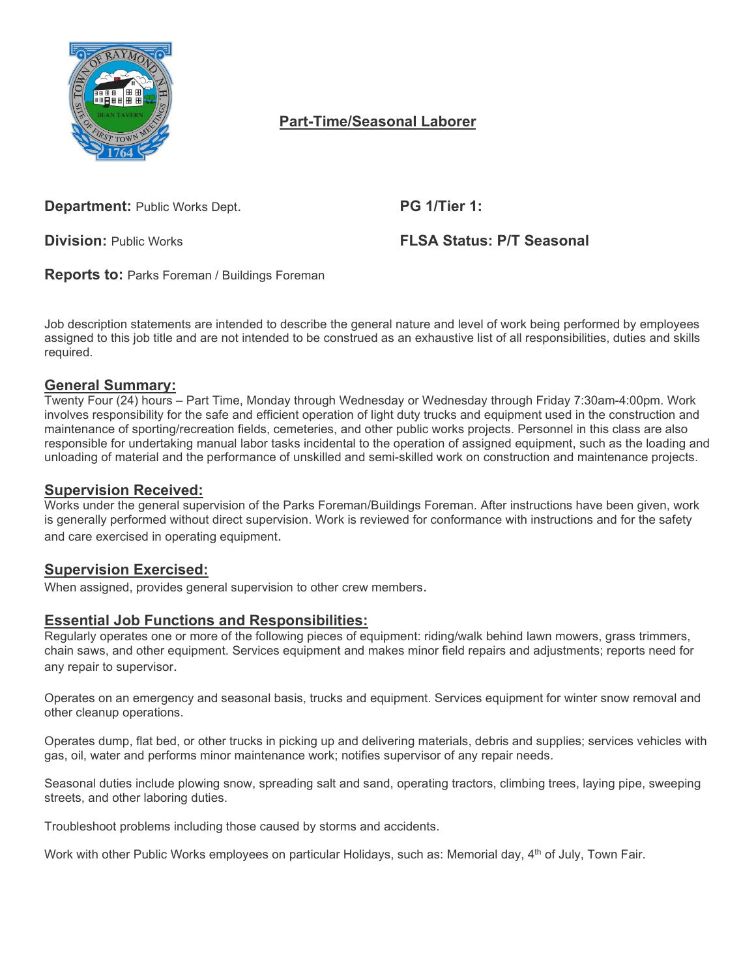

# **Part-Time/Seasonal Laborer**

**Department: Public Works Dept. PG 1/Tier 1:** 

**Division:** Public Works **FLSA Status: P/T Seasonal** 

**Reports to:** Parks Foreman / Buildings Foreman

Job description statements are intended to describe the general nature and level of work being performed by employees assigned to this job title and are not intended to be construed as an exhaustive list of all responsibilities, duties and skills required.

## **General Summary:**

Twenty Four (24) hours – Part Time, Monday through Wednesday or Wednesday through Friday 7:30am-4:00pm. Work involves responsibility for the safe and efficient operation of light duty trucks and equipment used in the construction and maintenance of sporting/recreation fields, cemeteries, and other public works projects. Personnel in this class are also responsible for undertaking manual labor tasks incidental to the operation of assigned equipment, such as the loading and unloading of material and the performance of unskilled and semi-skilled work on construction and maintenance projects.

#### **Supervision Received:**

Works under the general supervision of the Parks Foreman/Buildings Foreman. After instructions have been given, work is generally performed without direct supervision. Work is reviewed for conformance with instructions and for the safety and care exercised in operating equipment.

### **Supervision Exercised:**

When assigned, provides general supervision to other crew members.

### **Essential Job Functions and Responsibilities:**

Regularly operates one or more of the following pieces of equipment: riding/walk behind lawn mowers, grass trimmers, chain saws, and other equipment. Services equipment and makes minor field repairs and adjustments; reports need for any repair to supervisor.

Operates on an emergency and seasonal basis, trucks and equipment. Services equipment for winter snow removal and other cleanup operations.

Operates dump, flat bed, or other trucks in picking up and delivering materials, debris and supplies; services vehicles with gas, oil, water and performs minor maintenance work; notifies supervisor of any repair needs.

Seasonal duties include plowing snow, spreading salt and sand, operating tractors, climbing trees, laying pipe, sweeping streets, and other laboring duties.

Troubleshoot problems including those caused by storms and accidents.

Work with other Public Works employees on particular Holidays, such as: Memorial day, 4<sup>th</sup> of July, Town Fair.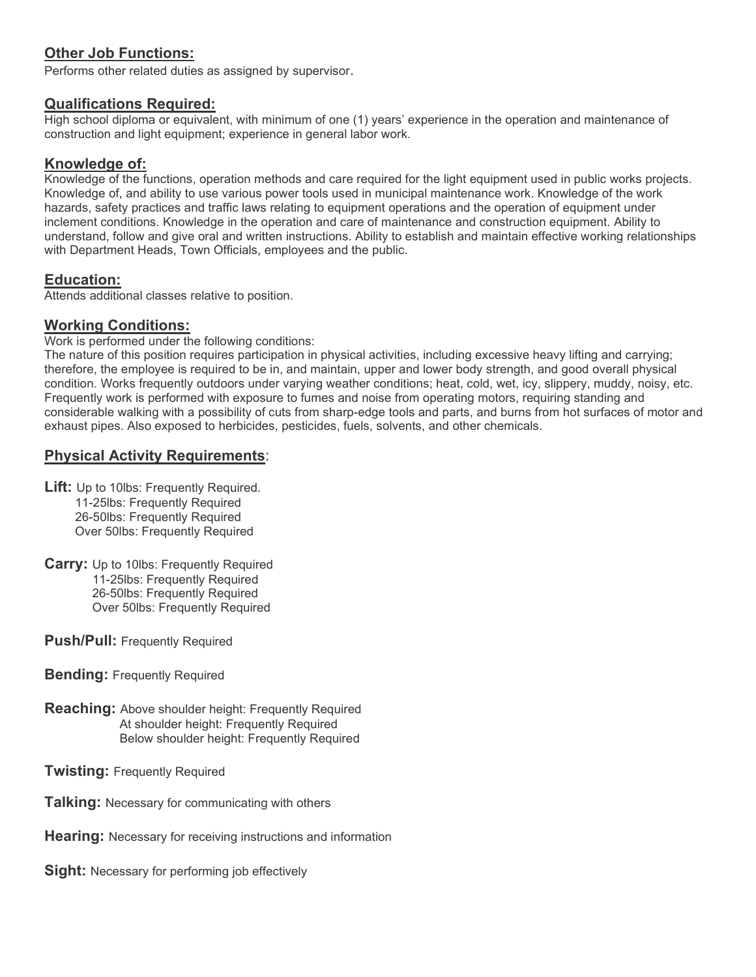## **Other Job Functions:**

Performs other related duties as assigned by supervisor.

### **Qualifications Required:**

High school diploma or equivalent, with minimum of one (1) years' experience in the operation and maintenance of construction and light equipment; experience in general labor work.

#### **Knowledge of:**

Knowledge of the functions, operation methods and care required for the light equipment used in public works projects. Knowledge of, and ability to use various power tools used in municipal maintenance work. Knowledge of the work hazards, safety practices and traffic laws relating to equipment operations and the operation of equipment under inclement conditions. Knowledge in the operation and care of maintenance and construction equipment. Ability to understand, follow and give oral and written instructions. Ability to establish and maintain effective working relationships with Department Heads, Town Officials, employees and the public.

### **Education:**

Attends additional classes relative to position.

### **Working Conditions:**

Work is performed under the following conditions:

The nature of this position requires participation in physical activities, including excessive heavy lifting and carrying; therefore, the employee is required to be in, and maintain, upper and lower body strength, and good overall physical condition. Works frequently outdoors under varying weather conditions; heat, cold, wet, icy, slippery, muddy, noisy, etc. Frequently work is performed with exposure to fumes and noise from operating motors, requiring standing and considerable walking with a possibility of cuts from sharp-edge tools and parts, and burns from hot surfaces of motor and exhaust pipes. Also exposed to herbicides, pesticides, fuels, solvents, and other chemicals.

### **Physical Activity Requirements**:

- **Lift:** Up to 10lbs: Frequently Required. 11-25lbs: Frequently Required 26-50lbs: Frequently Required Over 50lbs: Frequently Required
- **Carry:** Up to 10lbs: Frequently Required 11-25lbs: Frequently Required 26-50lbs: Frequently Required Over 50lbs: Frequently Required
- **Push/Pull:** Frequently Required
- **Bending:** Frequently Required
- **Reaching:** Above shoulder height: Frequently Required At shoulder height: Frequently Required Below shoulder height: Frequently Required

**Twisting:** Frequently Required

- **Talking:** Necessary for communicating with others
- **Hearing:** Necessary for receiving instructions and information

**Sight:** Necessary for performing job effectively